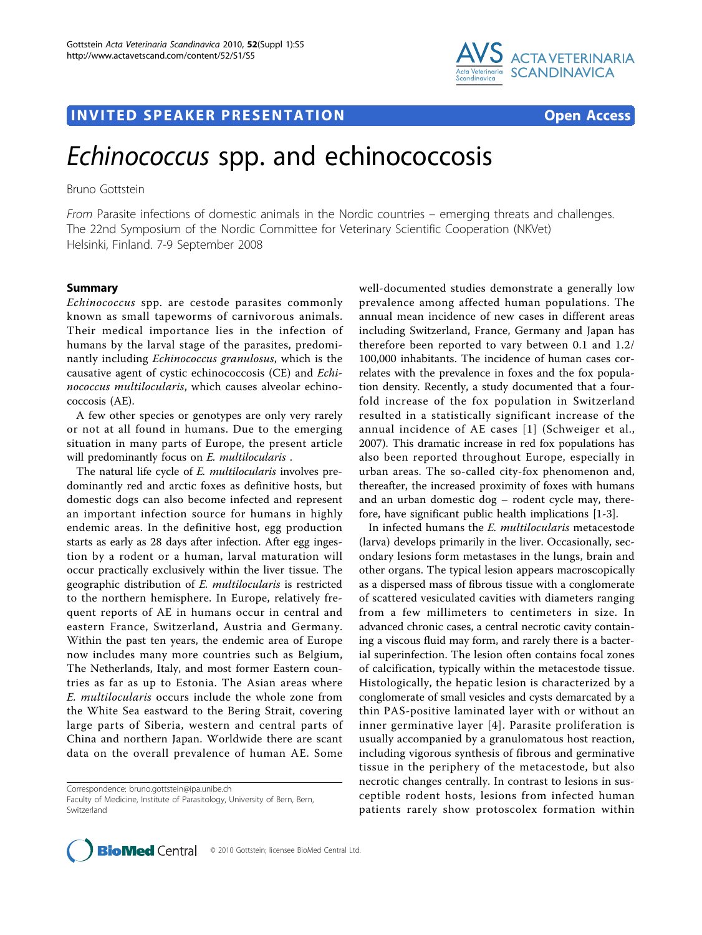

## **INVITED SPEAKER PRESENTATION CONSUMING THE SPEAK ERROR CONSUMING THE SPEAKER**

# Echinococcus spp. and echinococcosis

Bruno Gottstein

From Parasite infections of domestic animals in the Nordic countries – emerging threats and challenges. The 22nd Symposium of the Nordic Committee for Veterinary Scientific Cooperation (NKVet) Helsinki, Finland. 7-9 September 2008

### Summary

Echinococcus spp. are cestode parasites commonly known as small tapeworms of carnivorous animals. Their medical importance lies in the infection of humans by the larval stage of the parasites, predominantly including Echinococcus granulosus, which is the causative agent of cystic echinococcosis (CE) and Echinococcus multilocularis, which causes alveolar echinococcosis (AE).

A few other species or genotypes are only very rarely or not at all found in humans. Due to the emerging situation in many parts of Europe, the present article will predominantly focus on E. multilocularis.

The natural life cycle of *E. multilocularis* involves predominantly red and arctic foxes as definitive hosts, but domestic dogs can also become infected and represent an important infection source for humans in highly endemic areas. In the definitive host, egg production starts as early as 28 days after infection. After egg ingestion by a rodent or a human, larval maturation will occur practically exclusively within the liver tissue. The geographic distribution of E. multilocularis is restricted to the northern hemisphere. In Europe, relatively frequent reports of AE in humans occur in central and eastern France, Switzerland, Austria and Germany. Within the past ten years, the endemic area of Europe now includes many more countries such as Belgium, The Netherlands, Italy, and most former Eastern countries as far as up to Estonia. The Asian areas where E. multilocularis occurs include the whole zone from the White Sea eastward to the Bering Strait, covering large parts of Siberia, western and central parts of China and northern Japan. Worldwide there are scant data on the overall prevalence of human AE. Some

Correspondence: [bruno.gottstein@ipa.unibe.ch](mailto:bruno.gottstein@ipa.unibe.ch)

well-documented studies demonstrate a generally low prevalence among affected human populations. The annual mean incidence of new cases in different areas including Switzerland, France, Germany and Japan has therefore been reported to vary between 0.1 and 1.2/ 100,000 inhabitants. The incidence of human cases correlates with the prevalence in foxes and the fox population density. Recently, a study documented that a fourfold increase of the fox population in Switzerland resulted in a statistically significant increase of the annual incidence of AE cases [[1\]](#page-2-0) (Schweiger et al., 2007). This dramatic increase in red fox populations has also been reported throughout Europe, especially in urban areas. The so-called city-fox phenomenon and, thereafter, the increased proximity of foxes with humans and an urban domestic dog – rodent cycle may, therefore, have significant public health implications [\[1](#page-2-0)-[3\]](#page-2-0).

In infected humans the E. multilocularis metacestode (larva) develops primarily in the liver. Occasionally, secondary lesions form metastases in the lungs, brain and other organs. The typical lesion appears macroscopically as a dispersed mass of fibrous tissue with a conglomerate of scattered vesiculated cavities with diameters ranging from a few millimeters to centimeters in size. In advanced chronic cases, a central necrotic cavity containing a viscous fluid may form, and rarely there is a bacterial superinfection. The lesion often contains focal zones of calcification, typically within the metacestode tissue. Histologically, the hepatic lesion is characterized by a conglomerate of small vesicles and cysts demarcated by a thin PAS-positive laminated layer with or without an inner germinative layer [[4\]](#page-2-0). Parasite proliferation is usually accompanied by a granulomatous host reaction, including vigorous synthesis of fibrous and germinative tissue in the periphery of the metacestode, but also necrotic changes centrally. In contrast to lesions in susceptible rodent hosts, lesions from infected human patients rarely show protoscolex formation within



Faculty of Medicine, Institute of Parasitology, University of Bern, Bern, Switzerland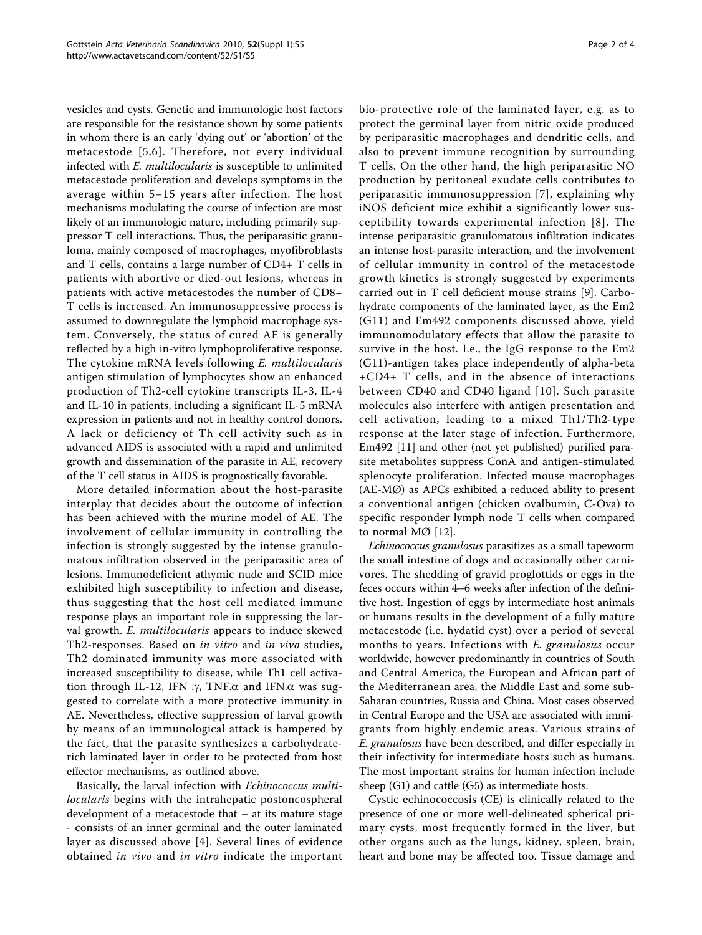vesicles and cysts. Genetic and immunologic host factors are responsible for the resistance shown by some patients in whom there is an early 'dying out' or 'abortion' of the metacestode [[5](#page-2-0),[6](#page-2-0)]. Therefore, not every individual infected with *E. multilocularis* is susceptible to unlimited metacestode proliferation and develops symptoms in the average within 5–15 years after infection. The host mechanisms modulating the course of infection are most likely of an immunologic nature, including primarily suppressor T cell interactions. Thus, the periparasitic granuloma, mainly composed of macrophages, myofibroblasts and T cells, contains a large number of CD4+ T cells in patients with abortive or died-out lesions, whereas in patients with active metacestodes the number of CD8+ T cells is increased. An immunosuppressive process is assumed to downregulate the lymphoid macrophage system. Conversely, the status of cured AE is generally reflected by a high in-vitro lymphoproliferative response. The cytokine mRNA levels following E. multilocularis antigen stimulation of lymphocytes show an enhanced production of Th2-cell cytokine transcripts IL-3, IL-4 and IL-10 in patients, including a significant IL-5 mRNA expression in patients and not in healthy control donors. A lack or deficiency of Th cell activity such as in advanced AIDS is associated with a rapid and unlimited growth and dissemination of the parasite in AE, recovery of the T cell status in AIDS is prognostically favorable.

More detailed information about the host-parasite interplay that decides about the outcome of infection has been achieved with the murine model of AE. The involvement of cellular immunity in controlling the infection is strongly suggested by the intense granulomatous infiltration observed in the periparasitic area of lesions. Immunodeficient athymic nude and SCID mice exhibited high susceptibility to infection and disease, thus suggesting that the host cell mediated immune response plays an important role in suppressing the larval growth. E. multilocularis appears to induce skewed Th2-responses. Based on in vitro and in vivo studies, Th2 dominated immunity was more associated with increased susceptibility to disease, while Th1 cell activation through IL-12, IFN  $\cdot$   $\gamma$ , TNF. $\alpha$  and IFN. $\alpha$  was suggested to correlate with a more protective immunity in AE. Nevertheless, effective suppression of larval growth by means of an immunological attack is hampered by the fact, that the parasite synthesizes a carbohydraterich laminated layer in order to be protected from host effector mechanisms, as outlined above.

Basically, the larval infection with Echinococcus multilocularis begins with the intrahepatic postoncospheral development of a metacestode that – at its mature stage - consists of an inner germinal and the outer laminated layer as discussed above [[4](#page-2-0)]. Several lines of evidence obtained in vivo and in vitro indicate the important bio-protective role of the laminated layer, e.g. as to protect the germinal layer from nitric oxide produced by periparasitic macrophages and dendritic cells, and also to prevent immune recognition by surrounding T cells. On the other hand, the high periparasitic NO production by peritoneal exudate cells contributes to periparasitic immunosuppression [[7](#page-3-0)], explaining why iNOS deficient mice exhibit a significantly lower susceptibility towards experimental infection [[8\]](#page-3-0). The intense periparasitic granulomatous infiltration indicates an intense host-parasite interaction, and the involvement of cellular immunity in control of the metacestode growth kinetics is strongly suggested by experiments carried out in T cell deficient mouse strains [[9\]](#page-3-0). Carbohydrate components of the laminated layer, as the Em2 (G11) and Em492 components discussed above, yield immunomodulatory effects that allow the parasite to survive in the host. I.e., the IgG response to the Em2 (G11)-antigen takes place independently of alpha-beta +CD4+ T cells, and in the absence of interactions between CD40 and CD40 ligand [[10\]](#page-3-0). Such parasite molecules also interfere with antigen presentation and cell activation, leading to a mixed Th1/Th2-type response at the later stage of infection. Furthermore, Em492 [[11\]](#page-3-0) and other (not yet published) purified parasite metabolites suppress ConA and antigen-stimulated splenocyte proliferation. Infected mouse macrophages (AE-MØ) as APCs exhibited a reduced ability to present a conventional antigen (chicken ovalbumin, C-Ova) to specific responder lymph node T cells when compared to normal MØ [[12](#page-3-0)].

Echinococcus granulosus parasitizes as a small tapeworm the small intestine of dogs and occasionally other carnivores. The shedding of gravid proglottids or eggs in the feces occurs within 4–6 weeks after infection of the definitive host. Ingestion of eggs by intermediate host animals or humans results in the development of a fully mature metacestode (i.e. hydatid cyst) over a period of several months to years. Infections with E. granulosus occur worldwide, however predominantly in countries of South and Central America, the European and African part of the Mediterranean area, the Middle East and some sub-Saharan countries, Russia and China. Most cases observed in Central Europe and the USA are associated with immigrants from highly endemic areas. Various strains of E. granulosus have been described, and differ especially in their infectivity for intermediate hosts such as humans. The most important strains for human infection include sheep (G1) and cattle (G5) as intermediate hosts.

Cystic echinococcosis (CE) is clinically related to the presence of one or more well-delineated spherical primary cysts, most frequently formed in the liver, but other organs such as the lungs, kidney, spleen, brain, heart and bone may be affected too. Tissue damage and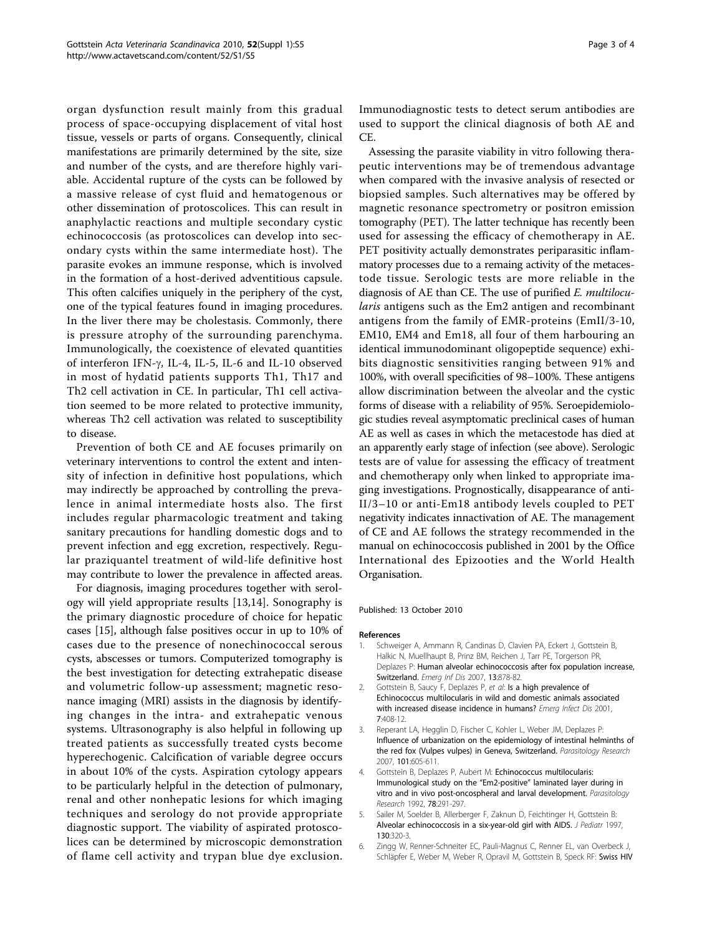<span id="page-2-0"></span>organ dysfunction result mainly from this gradual process of space-occupying displacement of vital host tissue, vessels or parts of organs. Consequently, clinical manifestations are primarily determined by the site, size and number of the cysts, and are therefore highly variable. Accidental rupture of the cysts can be followed by a massive release of cyst fluid and hematogenous or other dissemination of protoscolices. This can result in anaphylactic reactions and multiple secondary cystic echinococcosis (as protoscolices can develop into secondary cysts within the same intermediate host). The parasite evokes an immune response, which is involved in the formation of a host-derived adventitious capsule. This often calcifies uniquely in the periphery of the cyst, one of the typical features found in imaging procedures. In the liver there may be cholestasis. Commonly, there is pressure atrophy of the surrounding parenchyma. Immunologically, the coexistence of elevated quantities of interferon IFN-g, IL-4, IL-5, IL-6 and IL-10 observed in most of hydatid patients supports Th1, Th17 and Th2 cell activation in CE. In particular, Th1 cell activation seemed to be more related to protective immunity, whereas Th2 cell activation was related to susceptibility to disease.

Prevention of both CE and AE focuses primarily on veterinary interventions to control the extent and intensity of infection in definitive host populations, which may indirectly be approached by controlling the prevalence in animal intermediate hosts also. The first includes regular pharmacologic treatment and taking sanitary precautions for handling domestic dogs and to prevent infection and egg excretion, respectively. Regular praziquantel treatment of wild-life definitive host may contribute to lower the prevalence in affected areas.

For diagnosis, imaging procedures together with serology will yield appropriate results [[13,14\]](#page-3-0). Sonography is the primary diagnostic procedure of choice for hepatic cases [[15](#page-3-0)], although false positives occur in up to 10% of cases due to the presence of nonechinococcal serous cysts, abscesses or tumors. Computerized tomography is the best investigation for detecting extrahepatic disease and volumetric follow-up assessment; magnetic resonance imaging (MRI) assists in the diagnosis by identifying changes in the intra- and extrahepatic venous systems. Ultrasonography is also helpful in following up treated patients as successfully treated cysts become hyperechogenic. Calcification of variable degree occurs in about 10% of the cysts. Aspiration cytology appears to be particularly helpful in the detection of pulmonary, renal and other nonhepatic lesions for which imaging techniques and serology do not provide appropriate diagnostic support. The viability of aspirated protoscolices can be determined by microscopic demonstration of flame cell activity and trypan blue dye exclusion.

Immunodiagnostic tests to detect serum antibodies are used to support the clinical diagnosis of both AE and CE.

Assessing the parasite viability in vitro following therapeutic interventions may be of tremendous advantage when compared with the invasive analysis of resected or biopsied samples. Such alternatives may be offered by magnetic resonance spectrometry or positron emission tomography (PET). The latter technique has recently been used for assessing the efficacy of chemotherapy in AE. PET positivity actually demonstrates periparasitic inflammatory processes due to a remaing activity of the metacestode tissue. Serologic tests are more reliable in the diagnosis of AE than CE. The use of purified E. multilocularis antigens such as the Em2 antigen and recombinant antigens from the family of EMR-proteins (EmII/3-10, EM10, EM4 and Em18, all four of them harbouring an identical immunodominant oligopeptide sequence) exhibits diagnostic sensitivities ranging between 91% and 100%, with overall specificities of 98–100%. These antigens allow discrimination between the alveolar and the cystic forms of disease with a reliability of 95%. Seroepidemiologic studies reveal asymptomatic preclinical cases of human AE as well as cases in which the metacestode has died at an apparently early stage of infection (see above). Serologic tests are of value for assessing the efficacy of treatment and chemotherapy only when linked to appropriate imaging investigations. Prognostically, disappearance of anti-II/3–10 or anti-Em18 antibody levels coupled to PET negativity indicates innactivation of AE. The management of CE and AE follows the strategy recommended in the manual on echinococcosis published in 2001 by the Office International des Epizooties and the World Health Organisation.

#### Published: 13 October 2010

#### References

- Schweiger A, Ammann R, Candinas D, Clavien PA, Eckert J, Gottstein B, Halkic N, Muellhaupt B, Prinz BM, Reichen J, Tarr PE, Torgerson PR, Deplazes P: Human alveolar echinococcosis after fox population increase, Switzerland. Emerg Inf Dis 2007, 13:878-82.
- 2. Gottstein B, Saucy F, Deplazes P, et al: [Is a high prevalence of](http://www.ncbi.nlm.nih.gov/pubmed/11384517?dopt=Abstract) [Echinococcus multilocularis in wild and domestic animals associated](http://www.ncbi.nlm.nih.gov/pubmed/11384517?dopt=Abstract) [with increased disease incidence in humans?](http://www.ncbi.nlm.nih.gov/pubmed/11384517?dopt=Abstract) Emerg Infect Dis 2001, 7:408-12.
- 3. Reperant LA, Hegglin D, Fischer C, Kohler L, Weber JM, Deplazes P: [Influence of urbanization on the epidemiology of intestinal helminths of](http://www.ncbi.nlm.nih.gov/pubmed/17393184?dopt=Abstract) [the red fox \(Vulpes vulpes\) in Geneva, Switzerland.](http://www.ncbi.nlm.nih.gov/pubmed/17393184?dopt=Abstract) Parasitology Research 2007, 101:605-611.
- 4. Gottstein B, Deplazes P, Aubert M: [Echinococcus multilocularis:](http://www.ncbi.nlm.nih.gov/pubmed/1409528?dopt=Abstract) [Immunological study on the](http://www.ncbi.nlm.nih.gov/pubmed/1409528?dopt=Abstract) "Em2-positive" laminated layer during in [vitro and in vivo post-oncospheral and larval development.](http://www.ncbi.nlm.nih.gov/pubmed/1409528?dopt=Abstract) Parasitology Research 1992, 78:291-297.
- 5. Sailer M, Soelder B, Allerberger F, Zaknun D, Feichtinger H, Gottstein B: [Alveolar echinococcosis in a six-year-old girl with AIDS.](http://www.ncbi.nlm.nih.gov/pubmed/9042141?dopt=Abstract) J Pediatr 1997, 130:320-3.
- 6. Zingg W, Renner-Schneiter EC, Pauli-Magnus C, Renner EL, van Overbeck J, Schläpfer E, Weber M, Weber R, Opravil M, Gottstein B, Speck RF: [Swiss HIV](http://www.ncbi.nlm.nih.gov/pubmed/15624896?dopt=Abstract)